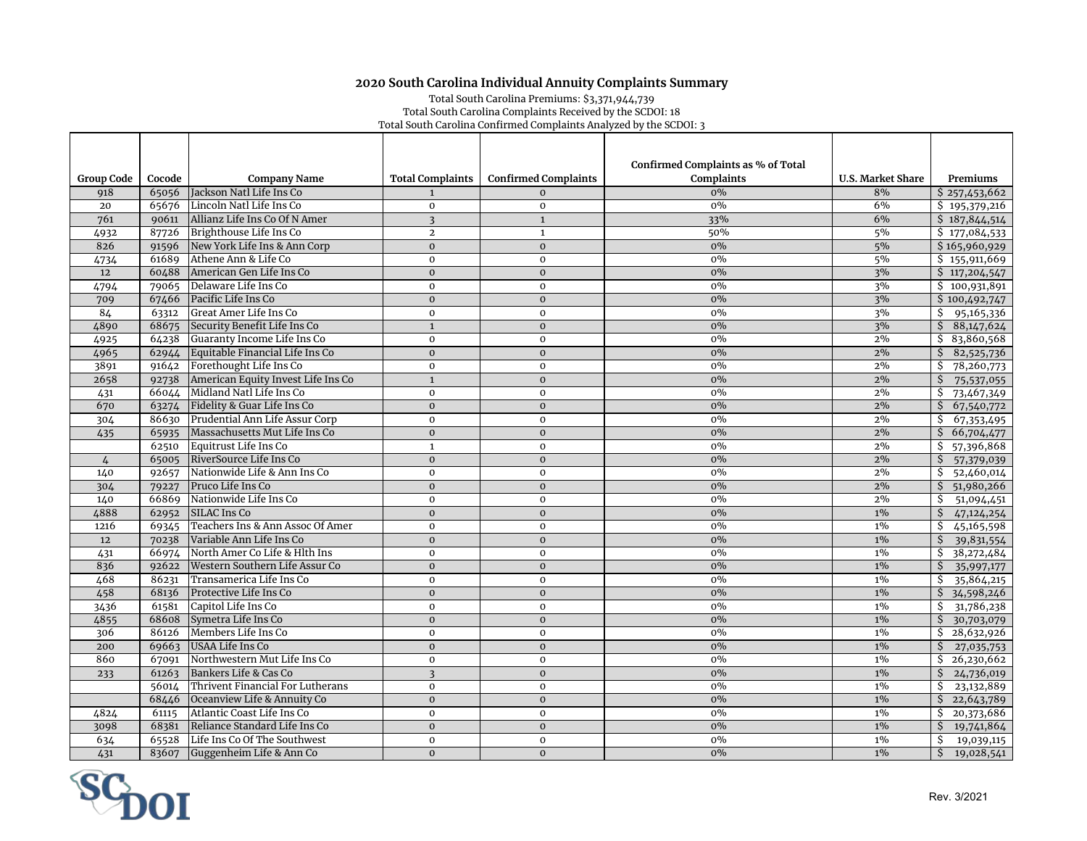## **2020 South Carolina Individual Annuity Complaints Summary**

Total South Carolina Premiums: \$3,371,944,739 Total South Carolina Complaints Received by the SCDOI: 18 Total South Carolina Confirmed Complaints Analyzed by the SCDOI: 3

|                   |        |                                    |                         |                             | Confirmed Complaints as % of Total |                          |                                      |
|-------------------|--------|------------------------------------|-------------------------|-----------------------------|------------------------------------|--------------------------|--------------------------------------|
| <b>Group Code</b> | Cocode | <b>Company Name</b>                | <b>Total Complaints</b> | <b>Confirmed Complaints</b> | <b>Complaints</b>                  | <b>U.S. Market Share</b> | Premiums                             |
| 918               | 65056  | Jackson Natl Life Ins Co           | $\mathbf{1}$            | $\Omega$                    | $0\%$                              | 8%                       | \$257,453,662                        |
| 20                | 65676  | Lincoln Natl Life Ins Co           | $\mathbf{0}$            | $\mathbf 0$                 | $0\%$                              | 6%                       | \$195,379,216                        |
| 761               | 90611  | Allianz Life Ins Co Of N Amer      | $\overline{3}$          | $\mathbf{1}$                | 33%                                | 6%                       | \$187,844,514                        |
| 4932              | 87726  | Brighthouse Life Ins Co            | $\overline{2}$          | $\mathbf{1}$                | 50%                                | 5%                       | \$177,084,533                        |
| 826               | 91596  | New York Life Ins & Ann Corp       | $\overline{0}$          | $\overline{0}$              | $0\%$                              | 5%                       | \$165,960,929                        |
| 4734              | 61689  | Athene Ann & Life Co               | $\mathbf{0}$            | $\mathbf 0$                 | 0%                                 | 5%                       | \$155,911,669                        |
| 12                | 60488  | American Gen Life Ins Co           | $\mathbf 0$             | $\mathbf{O}$                | 0%                                 | 3%                       | \$117,204,547                        |
| 4794              | 79065  | Delaware Life Ins Co               | $\mathbf{O}$            | $\mathbf 0$                 | 0%                                 | 3%                       | \$100,931,891                        |
| 709               | 67466  | Pacific Life Ins Co                | $\mathbf{0}$            | $\mathbf{0}$                | $0\%$                              | 3%                       | \$100,492,747                        |
| 84                | 63312  | Great Amer Life Ins Co             | $\bf{0}$                | $\mathbf 0$                 | $0\%$                              | 3%                       | \$95,165,336                         |
| 4890              | 68675  | Security Benefit Life Ins Co       | $\mathbf{1}$            | $\overline{0}$              | $0\%$                              | 3%                       | \$88,147,624                         |
| 4925              | 64238  | Guaranty Income Life Ins Co        | $\bf{0}$                | $\mathbf 0$                 | $0\%$                              | 2%                       | \$3,860,568                          |
| 4965              | 62944  | Equitable Financial Life Ins Co    | $\mathbf 0$             | $\overline{0}$              | $0\%$                              | 2%                       | \$<br>82,525,736                     |
| 3891              | 91642  | Forethought Life Ins Co            | $\mathbf 0$             | $\mathbf 0$                 | $0\%$                              | 2%                       | \$<br>78,260,773                     |
| 2658              | 92738  | American Equity Invest Life Ins Co | $\mathbf{1}$            | $\mathbf{O}$                | $0\%$                              | 2%                       | \$<br>75,537,055                     |
| 431               | 66044  | Midland Natl Life Ins Co           | $\mathbf{0}$            | $\Omega$                    | $0\%$                              | 2%                       | \$73,467,349                         |
| 670               | 63274  | Fidelity & Guar Life Ins Co        | $\mathbf 0$             | $\mathbf 0$                 | $0\%$                              | 2%                       | \$67,540,772                         |
| 304               | 86630  | Prudential Ann Life Assur Corp     | $\mathbf{0}$            | $\mathbf 0$                 | $0\%$                              | 2%                       | 67,353,495<br>S.                     |
| 435               | 65935  | Massachusetts Mut Life Ins Co      | $\mathbf 0$             | $\mathbf{O}$                | $0\%$                              | 2%                       | \$66,704,477                         |
|                   | 62510  | Equitrust Life Ins Co              | $\mathbf{1}$            | $\mathbf 0$                 | $0\%$                              | 2%                       | \$57,396,868                         |
| $\frac{1}{4}$     | 65005  | RiverSource Life Ins Co            | $\mathbf 0$             | $\overline{0}$              | $0\%$                              | 2%                       | \$57,379,039                         |
| 140               | 92657  | Nationwide Life & Ann Ins Co       | $\mathbf 0$             | $\mathbf 0$                 | $0\%$                              | 2%                       | \$52,460,014                         |
| 304               | 79227  | Pruco Life Ins Co                  | $\mathbf{0}$            | $\Omega$                    | $0\%$                              | 2%                       | 51,980,266<br>Ŝ.                     |
| 140               | 66869  | Nationwide Life Ins Co             | $\mathbf 0$             | $\mathbf 0$                 | $0\%$                              | 2%                       | \$<br>51,094,451                     |
| 4888              | 62952  | SILAC Ins Co                       | $\mathbf 0$             | $\mathbf{0}$                | $0\%$                              | $1\%$                    | \$<br>47,124,254                     |
| 1216              | 69345  | Teachers Ins & Ann Assoc Of Amer   | $\mathbf 0$             | $\mathbf 0$                 | $0\%$                              | $1\%$                    | 45,165,598<br>\$                     |
| 12                | 70238  | Variable Ann Life Ins Co           | $\mathbf{0}$            | $\mathbf{O}$                | $0\%$                              | $1\%$                    | Ś.<br>39,831,554                     |
| 431               | 66974  | North Amer Co Life & Hlth Ins      | $\bf{0}$                | $\mathbf 0$                 | 0%                                 | $1\%$                    | \$<br>38,272,484                     |
| 836               | 92622  | Western Southern Life Assur Co     | $\mathbf 0$             | $\mathbf{O}$                | $0\%$                              | $1\%$                    | \$<br>35,997,177                     |
| 468               | 86231  | Transamerica Life Ins Co           | $\mathbf 0$             | $\mathbf 0$                 | $0\%$                              | $1\%$                    | 35,864,215<br>\$                     |
| 458               | 68136  | Protective Life Ins Co             | $\mathbf{0}$            | $\overline{0}$              | $0\%$                              | $1\%$                    | \$<br>34,598,246                     |
| 3436              | 61581  | Capitol Life Ins Co                | $\mathbf 0$             | $\mathbf 0$                 | $0\%$                              | $1\%$                    | \$<br>31,786,238                     |
| 4855              | 68608  | Symetra Life Ins Co                | $\mathbf 0$             | $\mathbf{0}$                | 0%                                 | $1\%$                    | \$<br>30,703,079                     |
| 306               | 86126  | Members Life Ins Co                | $\mathbf 0$             | $\mathbf 0$                 | $0\%$                              | $1\%$                    | $\overline{$}3\overline{28,632,926}$ |
| 200               | 69663  | USAA Life Ins Co                   | $\mathbf{O}$            | $\mathbf{O}$                | 0%                                 | $1\%$                    | $\frac{1}{2}$ 27,035,753             |
| 860               | 67091  | Northwestern Mut Life Ins Co       | $\mathbf 0$             | $\mathbf 0$                 | $0\%$                              | $1\%$                    | $\overline{5}$ 26,230,662            |
| 233               | 61263  | Bankers Life & Cas Co              | $\overline{\mathbf{3}}$ | $\mathbf 0$                 | $0\%$                              | $1\%$                    | \$<br>24,736,019                     |
|                   | 56014  | Thrivent Financial For Lutherans   | $\mathbf 0$             | $\mathbf 0$                 | 0%                                 | $1\%$                    | \$<br>23,132,889                     |
|                   | 68446  | Oceanview Life & Annuity Co        | $\mathbf{0}$            | $\overline{0}$              | 0%                                 | $1\%$                    | \$22,643,789                         |
| 4824              | 61115  | Atlantic Coast Life Ins Co         | $\bf{0}$                | $\mathbf 0$                 | $0\%$                              | $1\%$                    | \$20,373,686                         |
| 3098              | 68381  | Reliance Standard Life Ins Co      | $\mathbf{0}$            | $\overline{0}$              | $0\%$                              | $1\%$                    | \$19,741,864                         |
| 634               | 65528  | Life Ins Co Of The Southwest       | $\mathbf 0$             | $\mathbf 0$                 | $0\%$                              | $1\%$                    | \$<br>19,039,115                     |
| 431               | 83607  | Guggenheim Life & Ann Co           | $\mathbf{0}$            | $\overline{0}$              | $0\%$                              | $1\%$                    | \$<br>19,028,541                     |

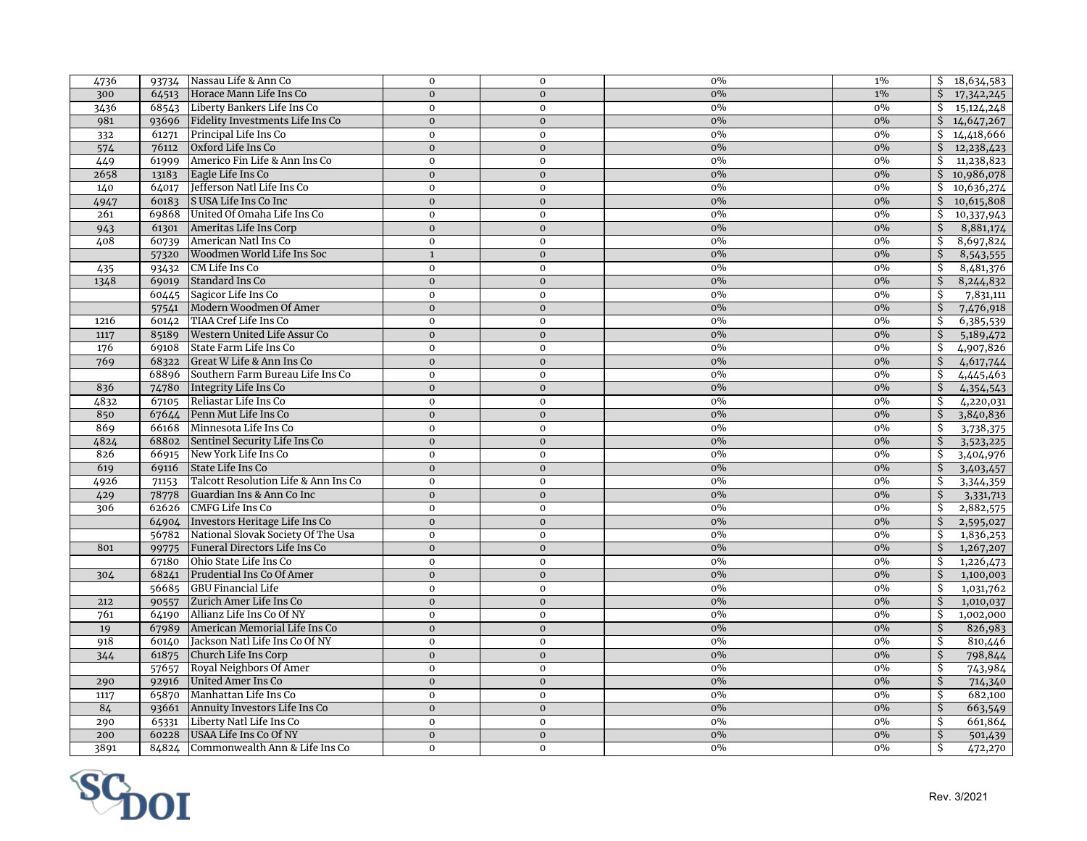| 4736 |       | 93734 Nassau Life & Ann Co             | $\mathbf 0$    | $\mathbf 0$    | 0%    | $1\%$ | \$18,634,583               |
|------|-------|----------------------------------------|----------------|----------------|-------|-------|----------------------------|
| 300  |       | 64513 Horace Mann Life Ins Co          | $\mathbf{0}$   | $\mathbf{O}$   | $0\%$ | $1\%$ | \$17,342,245               |
| 3436 |       | 68543 Liberty Bankers Life Ins Co      | $\mathbf{0}$   | $\mathbf 0$    | $0\%$ | 0%    | \$15,124,248               |
| 981  |       | 93696 Fidelity Investments Life Ins Co | $\mathbf{0}$   | $\mathbf{O}$   | 0%    | $0\%$ | $\frac{1}{4,647,267}$      |
| 332  | 61271 | Principal Life Ins Co                  | $\bf{0}$       | $\mathbf 0$    | $0\%$ | $0\%$ | $\frac{1}{4,418,666}$      |
| 574  | 76112 | Oxford Life Ins Co                     | $\mathbf{0}$   | $\mathbf{0}$   | $0\%$ | $0\%$ | $\frac{12,238,423}{5}$     |
| 449  | 61999 | Americo Fin Life & Ann Ins Co          | $\mathbf{O}$   | $\mathbf 0$    | $0\%$ | $0\%$ | Ŝ.<br>11,238,823           |
| 2658 | 13183 | Eagle Life Ins Co                      | $\mathbf 0$    | $\mathbf{O}$   | $0\%$ | $0\%$ | \$10,986,078               |
| 140  | 64017 | Jefferson Natl Life Ins Co             | $\mathbf 0$    | $\mathbf 0$    | $0\%$ | $0\%$ | 10,636,274<br>\$           |
| 4947 | 60183 | S USA Life Ins Co Inc                  | $\mathbf{0}$   | $\mathbf{0}$   | $0\%$ | $0\%$ | 10,615,808<br>\$           |
| 261  |       | 69868 United Of Omaha Life Ins Co      | $\mathbf 0$    | $\mathbf 0$    | $0\%$ | $0\%$ | 10,337,943<br>\$           |
| 943  |       | 61301 Ameritas Life Ins Corp           | $\mathbf 0$    | $\mathbf{0}$   | $0\%$ | $0\%$ | \$<br>8,881,174            |
| 408  | 60739 | American Natl Ins Co                   | $\mathbf 0$    | $\mathbf{o}$   | $0\%$ | $0\%$ | \$<br>8,697,824            |
|      | 57320 | Woodmen World Life Ins Soc             | $\overline{1}$ | $\overline{0}$ | 0%    | $0\%$ | \$<br>8,543,555            |
| 435  | 93432 | CM Life Ins Co                         | $\mathbf{0}$   | $\mathbf{0}$   | 0%    | $0\%$ | \$<br>8,481,376            |
| 1348 | 69019 | Standard Ins Co                        | $\mathbf{0}$   | $\mathbf{0}$   | 0%    | $0\%$ | \$<br>8,244,832            |
|      | 60445 | Sagicor Life Ins Co                    | $\bf{0}$       | $\mathbf 0$    | $0\%$ | $0\%$ | Ŝ.<br>7,831,111            |
|      | 57541 | Modern Woodmen Of Amer                 | $\mathbf{0}$   | $\mathbf{O}$   | $0\%$ | $0\%$ | $\mathcal{S}$<br>7,476,918 |
| 1216 | 60142 | TIAA Cref Life Ins Co                  | $\bf{0}$       | $\mathbf 0$    | $0\%$ | 0%    | Ŝ.<br>6,385,539            |
| 1117 | 85189 | Western United Life Assur Co           | $\mathbf{0}$   | $\mathbf{O}$   | $0\%$ | $0\%$ | Ŝ.<br>5,189,472            |
| 176  |       | 69108 State Farm Life Ins Co           | $\mathbf{0}$   | $\mathbf 0$    | 0%    | $0\%$ | 4,907,826<br>Ŝ.            |
| 769  | 68322 | Great W Life & Ann Ins Co              | $\mathbf{0}$   | $\mathbf{0}$   | $0\%$ | $0\%$ | Ŝ.<br>4,617,744            |
|      |       | 68896 Southern Farm Bureau Life Ins Co | $\bf{0}$       | $\mathbf 0$    | $0\%$ | 0%    | Ŝ.<br>4,445,463            |
| 836  |       | 74780 Integrity Life Ins Co            | $\mathbf{0}$   | $\mathbf{O}$   | 0%    | 0%    | \$<br>4,354,543            |
| 4832 | 67105 | Reliastar Life Ins Co                  | $\mathbf 0$    | $\mathbf 0$    | $0\%$ | $0\%$ | \$<br>4,220,031            |
| 850  | 67644 | Penn Mut Life Ins Co                   | $\mathbf{0}$   | $\mathbf{O}$   | $0\%$ | $0\%$ | \$<br>3,840,836            |
| 869  |       | 66168 Minnesota Life Ins Co            | $\bf{0}$       | $\mathbf 0$    | $0\%$ | $0\%$ | \$<br>3,738,375            |
| 4824 | 68802 | Sentinel Security Life Ins Co          | $\mathbf{0}$   | $\overline{0}$ | 0%    | $0\%$ | \$<br>3,523,225            |
| 826  | 66915 | New York Life Ins Co                   | $\bf{0}$       | $\mathbf 0$    | 0%    | 0%    | \$<br>3,404,976            |
| 619  | 69116 | State Life Ins Co                      | $\mathbf{0}$   | $\mathbf{O}$   | 0%    | $0\%$ | Ŝ.<br>3,403,457            |
| 4926 | 71153 | Talcott Resolution Life & Ann Ins Co   | $\mathbf 0$    | $\mathbf 0$    | $0\%$ | 0%    | Ŝ.<br>3,344,359            |
| 429  | 78778 | Guardian Ins & Ann Co Inc              | $\mathbf{0}$   | $\mathbf{O}$   | 0%    | $0\%$ | \$<br>3,331,713            |
| 306  | 62626 | <b>CMFG Life Ins Co</b>                | $\mathbf 0$    | $\mathbf 0$    | 0%    | $0\%$ | \$<br>2,882,575            |
|      | 64904 | Investors Heritage Life Ins Co         | $\mathbf 0$    | $\mathbf 0$    | $0\%$ | $0\%$ | $\mathcal{S}$<br>2,595,027 |
|      | 56782 | National Slovak Society Of The Usa     | $\overline{0}$ | $\mathbf 0$    | $0\%$ | $0\%$ | Ŝ<br>1,836,253             |
| 801  | 99775 | Funeral Directors Life Ins Co          | $\mathbf{0}$   | $\mathbf{O}$   | $0\%$ | $0\%$ | Ŝ.<br>1,267,207            |
|      | 67180 | Ohio State Life Ins Co                 | $\mathbf 0$    | $\mathbf 0$    | $0\%$ | 0%    | Ŝ.<br>1,226,473            |
| 304  | 68241 | Prudential Ins Co Of Amer              | $\mathbf{0}$   | $\mathbf{0}$   | $0\%$ | $0\%$ | \$<br>1,100,003            |
|      |       | 56685 GBU Financial Life               | $\mathbf 0$    | $\mathbf 0$    | $0\%$ | $0\%$ | \$<br>1,031,762            |
| 212  | 90557 | Zurich Amer Life Ins Co                | $\mathbf{0}$   | $\mathbf{0}$   | $0\%$ | $0\%$ | \$<br>1,010,037            |
| 761  | 64190 | Allianz Life Ins Co Of NY              | $\mathbf{O}$   | $\mathbf{o}$   | $0\%$ | $0\%$ | \$<br>1,002,000            |
| 19   | 67989 | American Memorial Life Ins Co          | $\mathbf{0}$   | $\mathbf{0}$   | 0%    | $0\%$ | \$<br>826,983              |
| 918  | 60140 | Jackson Natl Life Ins Co Of NY         | $\mathbf{0}$   | $\mathbf{0}$   | 0%    | $0\%$ | \$<br>810,446              |
| 344  | 61875 | Church Life Ins Corp                   | $\mathbf{0}$   | $\mathbf{0}$   | 0%    | $0\%$ | Ś.<br>798,844              |
|      | 57657 | Royal Neighbors Of Amer                | $\bf{0}$       | $\mathbf 0$    | $0\%$ | $0\%$ | Ŝ.<br>743,984              |
| 290  | 92916 | United Amer Ins Co                     | $\mathbf{0}$   | $\mathbf{0}$   | $0\%$ | $0\%$ | $\mathcal{S}$<br>714,340   |
| 1117 | 65870 | Manhattan Life Ins Co                  | $\bf{0}$       | $\mathbf 0$    | $0\%$ | $0\%$ | \$<br>682,100              |
| 84   | 93661 | Annuity Investors Life Ins Co          | $\mathbf{0}$   | $\mathbf{O}$   | $0\%$ | $0\%$ | Ŝ.<br>663,549              |
| 290  | 65331 | Liberty Natl Life Ins Co               | $\bf{0}$       | $\mathbf 0$    | 0%    | 0%    | \$<br>661,864              |
| 200  | 60228 | USAA Life Ins Co Of NY                 | $\mathbf{0}$   | $\mathbf{0}$   | $0\%$ | $0\%$ | \$<br>501,439              |
| 3891 |       | 84824 Commonwealth Ann & Life Ins Co   | $\mathbf 0$    | $\mathbf 0$    | $0\%$ | $0\%$ | Ŝ.<br>472,270              |

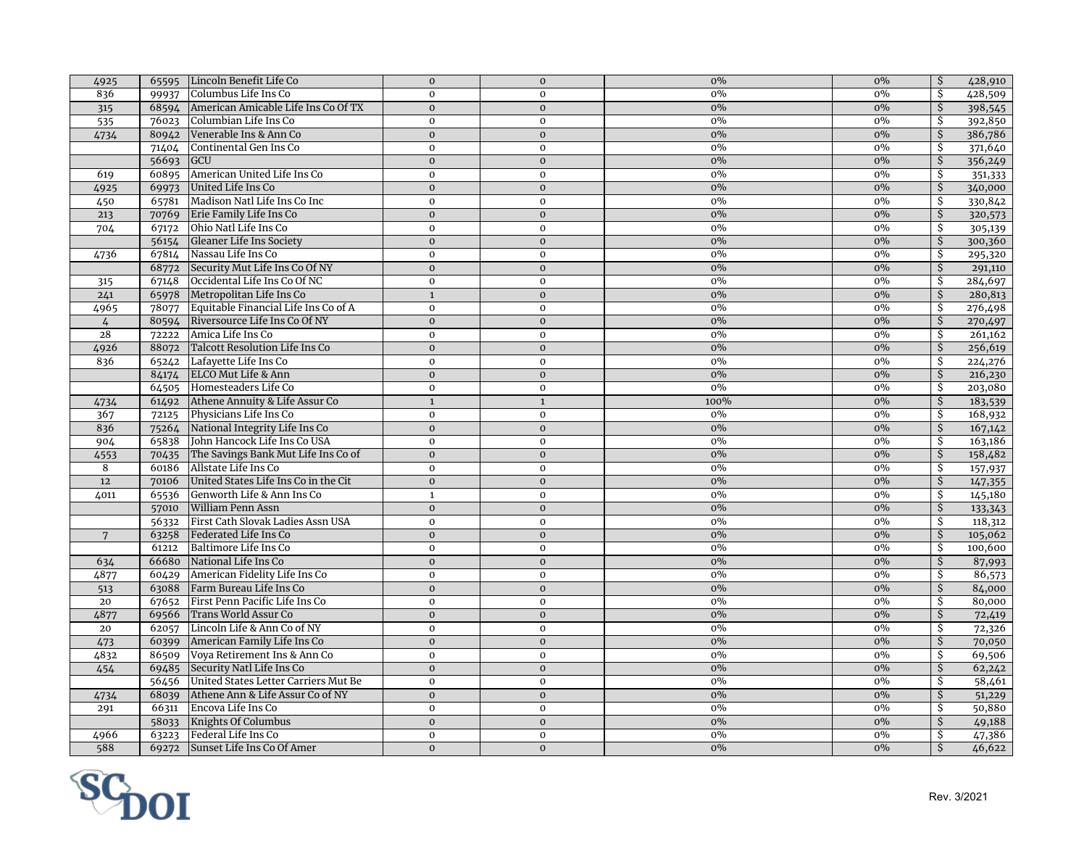| 4925            |                    | 65595 Lincoln Benefit Life Co             | $\mathbf{0}$   | $\mathbf 0$    | $0\%$ | $0\%$ | \$                      | 428,910 |
|-----------------|--------------------|-------------------------------------------|----------------|----------------|-------|-------|-------------------------|---------|
| 836             |                    | 99937 Columbus Life Ins Co                | $\mathbf{0}$   | $\mathbf 0$    | $0\%$ | 0%    | Ŝ.                      | 428,509 |
| 315             |                    | 68594 American Amicable Life Ins Co Of TX | $\mathbf 0$    | $\mathbf{0}$   | $0\%$ | 0%    | $\mathsf{S}$            | 398,545 |
| 535             | 76023              | Columbian Life Ins Co                     | $\mathbf 0$    | $\mathbf 0$    | $0\%$ | $0\%$ | Ŝ.                      | 392,850 |
| 4734            | 80942              | Venerable Ins & Ann Co                    | $\mathbf{0}$   | $\mathbf{0}$   | 0%    | $0\%$ | $\mathcal{S}$           | 386,786 |
|                 | 71404              | Continental Gen Ins Co                    | $\mathbf{0}$   | $\mathbf 0$    | $0\%$ | $0\%$ | Ŝ.                      | 371,640 |
|                 | 56693              | <b>GCU</b>                                | $\mathbf{0}$   | $\mathbf{O}$   | $0\%$ | $0\%$ | $\dot{S}$               | 356,249 |
| 619             | 60895              | American United Life Ins Co               | $\mathbf{0}$   | $\mathbf 0$    | $0\%$ | $0\%$ | Ŝ.                      | 351,333 |
| 4925            | 69973              | United Life Ins Co                        | $\mathbf 0$    | $\mathbf 0$    | $0\%$ | $0\%$ | Ŝ                       | 340,000 |
| 450             | 65781              | Madison Natl Life Ins Co Inc              | $\mathbf 0$    | $\mathbf 0$    | $0\%$ | $0\%$ | Ŝ.                      | 330,842 |
| 213             |                    | 70769 Erie Family Life Ins Co             | $\mathbf 0$    | $\mathbf 0$    | $0\%$ | $0\%$ | \$                      | 320,573 |
| 704             |                    | 67172 Ohio Natl Life Ins Co               | $\mathbf 0$    | $\mathbf 0$    | $0\%$ | $0\%$ | \$                      | 305,139 |
|                 | 56154              | Gleaner Life Ins Society                  | $\mathbf 0$    | $\mathbf 0$    | $0\%$ | $0\%$ | \$                      | 300,360 |
| 4736            | 67814              | Nassau Life Ins Co                        | $\mathbf 0$    | $\mathbf 0$    | $0\%$ | $0\%$ | \$                      | 295,320 |
|                 | 68772              | Security Mut Life Ins Co Of NY            | $\mathbf 0$    | $\mathbf{O}$   | $0\%$ | $0\%$ | \$                      | 291,110 |
| 315             | 67148              | Occidental Life Ins Co Of NC              | $\mathbf{0}$   | $\mathbf 0$    | $0\%$ | $0\%$ | Ŝ.                      | 284,697 |
| 241             | 65978              | Metropolitan Life Ins Co                  | $\mathbf{1}$   | $\mathbf 0$    | $0\%$ | $0\%$ | Ŝ.                      | 280,813 |
| 4965            | 78077              | Equitable Financial Life Ins Co of A      | $\mathbf{0}$   | $\mathbf 0$    | $0\%$ | $0\%$ | Ŝ.                      | 276,498 |
| $\frac{1}{4}$   |                    | 80594 Riversource Life Ins Co Of NY       | $\mathbf 0$    | $\mathbf 0$    | $0\%$ | $0\%$ | $\mathsf{S}$            | 270,497 |
| 28              | 72222              | Amica Life Ins Co                         | $\mathbf{0}$   | $\mathbf 0$    | 0%    | $0\%$ | Ŝ.                      | 261,162 |
| 4926            | 88072              | Talcott Resolution Life Ins Co            | $\mathbf{0}$   | $\mathbf{0}$   | $0\%$ | $0\%$ | \$                      | 256,619 |
| 836             |                    | 65242 Lafayette Life Ins Co               | $\overline{0}$ | $\overline{0}$ | $0\%$ | 0%    | Ŝ                       | 224,276 |
|                 | 84174              | ELCO Mut Life & Ann                       | $\mathbf{0}$   | $\mathbf{0}$   | $0\%$ | $0\%$ | \$                      | 216,230 |
|                 |                    | 64505 Homesteaders Life Co                | $\mathbf 0$    | $\mathbf 0$    | $0\%$ | $0\%$ | Ŝ.                      | 203,080 |
| 4734            |                    | 61492 Athene Annuity & Life Assur Co      | $\mathbf{1}$   | $\mathbf{1}$   | 100%  | $0\%$ | \$                      | 183,539 |
| 367             | 72125              | Physicians Life Ins Co                    | $\mathbf 0$    | $\mathbf 0$    | $0\%$ | $0\%$ | \$                      | 168,932 |
| 836             | 75264              | National Integrity Life Ins Co            | $\mathbf{0}$   | $\mathbf 0$    | $0\%$ | $0\%$ | $\mathcal{S}$           | 167,142 |
| 904             | 65838              | John Hancock Life Ins Co USA              | $\mathbf 0$    | $\mathbf 0$    | $0\%$ | $0\%$ | \$                      | 163,186 |
| 4553            | 70435              | The Savings Bank Mut Life Ins Co of       | $\mathbf{0}$   | $\mathbf{O}$   | $0\%$ | $0\%$ | \$                      | 158,482 |
| 8               | 60186              | Allstate Life Ins Co                      | $\mathbf 0$    | $\mathbf{O}$   | $0\%$ | 0%    | \$                      | 157,937 |
| 12              | 70106              | United States Life Ins Co in the Cit      | $\mathbf{0}$   | $\mathbf{0}$   | $0\%$ | $0\%$ | $\mathsf{S}$            | 147,355 |
| 4011            | $6\overline{5536}$ | Genworth Life & Ann Ins Co                | $\mathbf{1}$   | $\mathbf 0$    | $0\%$ | $0\%$ | Ŝ.                      | 145,180 |
|                 | 57010              | <b>William Penn Assn</b>                  | $\mathbf{0}$   | $\mathbf{0}$   | $0\%$ | $0\%$ | Ŝ.                      | 133,343 |
|                 | 56332              | First Cath Slovak Ladies Assn USA         | $\mathbf 0$    | $\mathbf 0$    | $0\%$ | 0%    | \$                      | 118,312 |
| $7\phantom{.0}$ | 63258              | Federated Life Ins Co                     | $\mathbf{0}$   | $\mathbf{0}$   | 0%    | $0\%$ | $\overline{\mathsf{S}}$ | 105,062 |
|                 | 61212              | Baltimore Life Ins Co                     | $\mathbf 0$    | $\mathbf 0$    | $0\%$ | 0%    | \$                      | 100,600 |
| 634             | 66680              | National Life Ins Co                      | $\mathbf{0}$   | $\mathbf{0}$   | $0\%$ | $0\%$ | Ŝ.                      | 87,993  |
| 4877            | 60429              | American Fidelity Life Ins Co             | $\mathbf 0$    | $\mathbf 0$    | $0\%$ | $0\%$ | Ŝ.                      | 86,573  |
| 513             |                    | 63088 Farm Bureau Life Ins Co             | $\mathbf{0}$   | $\mathbf{O}$   | $0\%$ | $0\%$ | \$                      | 84,000  |
| 20              |                    | 67652 First Penn Pacific Life Ins Co      | $\mathbf 0$    | $\mathbf 0$    | $0\%$ | $0\%$ | \$                      | 80,000  |
| 4877            |                    | 69566 Trans World Assur Co                | $\mathbf{0}$   | $\mathbf 0$    | $0\%$ | $0\%$ | $\mathcal{S}$           | 72,419  |
| 20              |                    | 62057 Lincoln Life & Ann Co of NY         | $\mathbf 0$    | $\mathbf 0$    | $0\%$ | $0\%$ | \$                      | 72,326  |
| 473             | 60399              | American Family Life Ins Co               | $\mathbf{0}$   | $\mathbf{0}$   | $0\%$ | $0\%$ | \$                      | 70,050  |
| 4832            | 86509              | Voya Retirement Ins & Ann Co              | $\mathbf 0$    | $\mathbf 0$    | $0\%$ | $0\%$ | \$                      | 69,506  |
| 454             | 69485              | Security Natl Life Ins Co                 | $\mathbf{0}$   | $\mathbf{O}$   | $0\%$ | $0\%$ | Ŝ.                      | 62,242  |
|                 | 56456              | United States Letter Carriers Mut Be      | $\mathbf{0}$   | $\mathbf 0$    | $0\%$ | 0%    | Ŝ.                      | 58,461  |
| 4734            |                    | 68039 Athene Ann & Life Assur Co of NY    | $\mathbf 0$    | $\mathbf 0$    | $0\%$ | $0\%$ | Ŝ.                      | 51,229  |
| 291             | 66311              | Encova Life Ins Co                        | $\mathbf 0$    | $\mathbf 0$    | $0\%$ | $0\%$ | Ŝ.                      | 50,880  |
|                 | 58033              | Knights Of Columbus                       | $\mathbf 0$    | $\mathbf 0$    | $0\%$ | $0\%$ | \$                      | 49,188  |
| 4966            | 63223              | Federal Life Ins Co                       | $\mathbf 0$    | $\mathbf 0$    | 0%    | $0\%$ | Ŝ.                      | 47,386  |
| 588             | 69272              | Sunset Life Ins Co Of Amer                | $\mathbf{0}$   | $\mathbf{O}$   | $0\%$ | $0\%$ | \$                      | 46,622  |

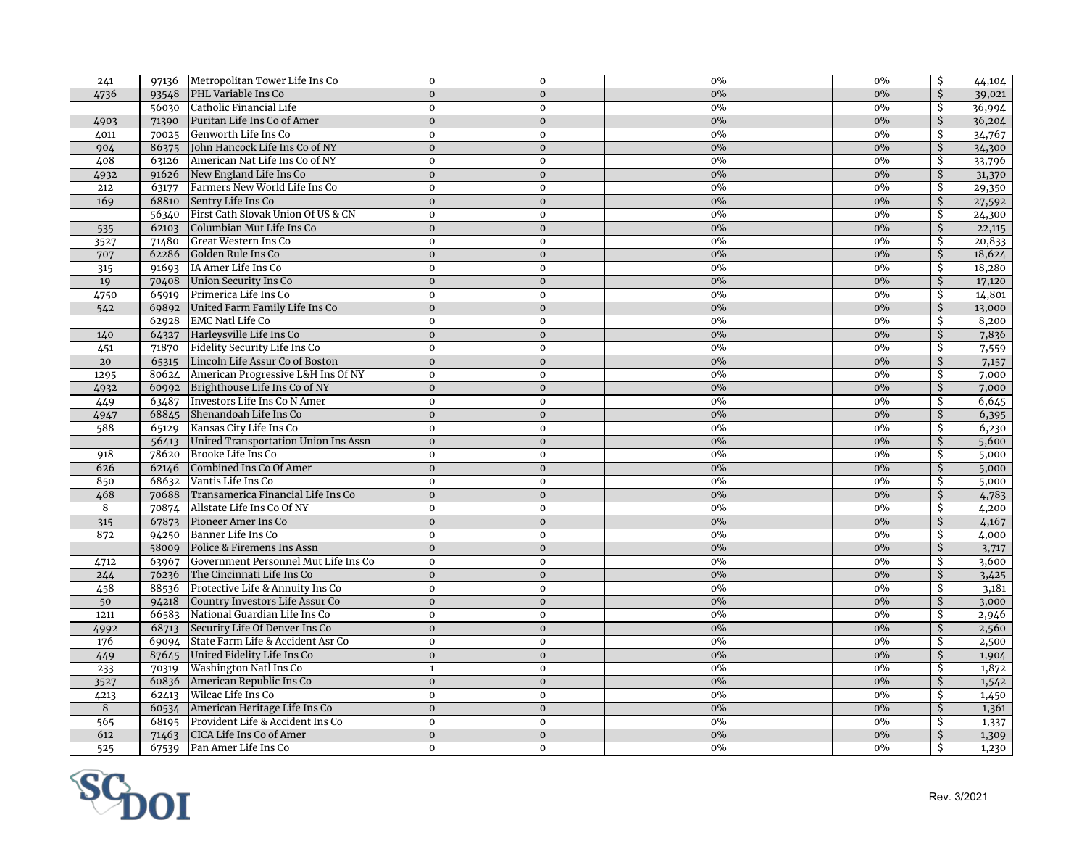| 241            |                | 97136 Metropolitan Tower Life Ins Co                        | $\mathbf{0}$                 | $\mathbf 0$                 | $0\%$          | 0%    | \$        | 44,104         |
|----------------|----------------|-------------------------------------------------------------|------------------------------|-----------------------------|----------------|-------|-----------|----------------|
| 4736           | 93548          | PHL Variable Ins Co                                         | $\Omega$                     | $\Omega$                    | $0\%$          | $0\%$ | Ś.        | 39,021         |
|                | 56030          | Catholic Financial Life                                     | $\mathbf 0$                  | $\mathbf 0$                 | $0\%$          | $0\%$ | Ŝ.        | 36,994         |
| 4903           | 71390          | Puritan Life Ins Co of Amer                                 | $\mathbf{0}$                 | $\mathbf{0}$                | 0%             | $0\%$ | Ŝ.        | 36,204         |
| 4011           | 70025          | Genworth Life Ins Co                                        | $\mathbf 0$                  | $\mathbf 0$                 | $0\%$          | $0\%$ | Ŝ.        | 34,767         |
| 904            | 86375          | John Hancock Life Ins Co of NY                              | $\mathbf{0}$                 | $\mathbf{0}$                | $0\%$          | $0\%$ | \$        | 34,300         |
| 408            | 63126          | American Nat Life Ins Co of NY                              | $\mathbf 0$                  | $\mathbf 0$                 | $0\%$          | $0\%$ | Ŝ.        | 33,796         |
| 4932           | 91626          | New England Life Ins Co                                     | $\mathbf{0}$                 | $\mathbf{O}$                | $0\%$          | $0\%$ | Ŝ.        | 31,370         |
| 212            | 63177          | Farmers New World Life Ins Co                               | $\mathbf 0$                  | $\mathbf 0$                 | $0\%$          | 0%    | Ŝ.        | 29,350         |
| 169            | 68810          | Sentry Life Ins Co                                          | $\mathbf{0}$                 | $\mathbf{0}$                | $0\%$          | $0\%$ | Ŝ.        | 27,592         |
|                |                | 56340 First Cath Slovak Union Of US & CN                    | $\mathbf 0$                  | $\mathbf 0$                 | $0\%$          | 0%    | \$        | 24,300         |
| 535            | 62103          | Columbian Mut Life Ins Co                                   | $\mathbf{0}$                 | $\mathbf{O}$                | $0\%$          | $0\%$ | Ŝ.        | 22,115         |
| 3527           | 71480          | Great Western Ins Co                                        | $\mathbf 0$                  | $\mathbf 0$                 | 0%             | $0\%$ | \$        | 20,833         |
| 707            | 62286          | Golden Rule Ins Co                                          | $\mathbf{0}$                 | $\mathbf{0}$                | $0\%$          | $0\%$ | \$        | 18,624         |
| 315            | 91693          | IA Amer Life Ins Co                                         | $\mathbf 0$                  | $\mathbf 0$                 | 0%             | 0%    | Ŝ.        | 18,280         |
| 19             |                | 70408 Union Security Ins Co                                 | $\mathbf{0}$                 | $\mathbf{0}$                | 0%             | $0\%$ | Ś.        | 17,120         |
| 4750           | 65919          | Primerica Life Ins Co                                       | $\mathbf{0}$                 | $\mathbf 0$                 | $0\%$          | $0\%$ | Ŝ.        | 14,801         |
| 542            | 69892          | United Farm Family Life Ins Co                              | $\mathbf{0}$                 | $\mathbf{0}$                | $0\%$          | $0\%$ | Ŝ.        | 13,000         |
|                |                | 62928 EMC Natl Life Co                                      | $\bf{0}$                     | $\mathbf 0$                 | $0\%$          | $0\%$ | \$        | 8,200          |
| 140            |                | 64327 Harleysville Life Ins Co                              | $\mathbf{0}$                 | $\mathbf{O}$                | 0%             | $0\%$ | $\dot{S}$ | 7,836          |
| 451            |                | 71870 Fidelity Security Life Ins Co                         | $\bf{0}$                     | $\mathbf 0$                 | $0\%$          | 0%    | \$        | 7,559          |
| 20             |                | 65315 Lincoln Life Assur Co of Boston                       | $\mathbf{0}$                 | $\mathbf{0}$                | $0\%$          | $0\%$ | Ŝ.        | 7,157          |
| 1295           |                | 80624 American Progressive L&H Ins Of NY                    | $\mathbf 0$                  | $\mathbf 0$                 | $0\%$          | 0%    | \$        | 7,000          |
| 4932           |                | 60992 Brighthouse Life Ins Co of NY                         | $\mathbf{0}$                 | $\mathbf{0}$                | 0%             | $0\%$ | Ŝ.        | 7,000          |
| 449            |                | 63487 Investors Life Ins Co N Amer                          | $\mathbf 0$                  | $\mathbf 0$                 | $0\%$          | $0\%$ | \$        | 6,645          |
| 4947           |                | 68845 Shenandoah Life Ins Co                                | $\mathbf{0}$                 | $\mathbf{O}$                | 0%             | $0\%$ | \$        | 6,395          |
| 588            |                | 65129 Kansas City Life Ins Co                               | $\mathbf 0$                  | $\mathbf 0$                 | 0%             | $0\%$ | \$        | 6,230          |
|                | 56413          | United Transportation Union Ins Assn                        | $\mathbf{0}$                 | $\overline{0}$              | $0\%$          | $0\%$ | \$        | 5,600          |
| 918            |                | 78620 Brooke Life Ins Co                                    | $\mathbf 0$                  | $\mathbf 0$                 | 0%             | 0%    | \$        | 5,000          |
| 626            | 62146          | Combined Ins Co Of Amer                                     | $\mathbf{0}$                 | $\mathbf{0}$                | $0\%$          | $0\%$ | Ś.        | 5,000          |
| 850            | 68632          | Vantis Life Ins Co                                          | $\mathbf 0$                  | $\mathbf 0$                 | $0\%$          | $0\%$ | Ŝ.        | 5,000          |
| 468            | 70688          | Transamerica Financial Life Ins Co                          | $\mathbf{0}$                 | $\mathbf{0}$                | 0%             | $0\%$ | Ś.        |                |
| $\overline{8}$ | 70874          | Allstate Life Ins Co Of NY                                  | $\mathbf 0$                  | $\mathbf 0$                 | $0\%$          | $0\%$ | Ŝ.        | 4,783<br>4,200 |
| 315            | 67873          | Pioneer Amer Ins Co                                         | $\mathbf{0}$                 | $\mathbf 0$                 | $0\%$          | $0\%$ | Ŝ.        | 4,167          |
| 872            |                | 94250 Banner Life Ins Co                                    | $\mathbf{0}$                 | $\mathbf{0}$                | 0%             | 0%    | Ŝ         | 4,000          |
|                |                | 58009 Police & Firemens Ins Assn                            | $\mathbf{0}$                 | $\mathbf{0}$                | $0\%$          | $0\%$ | Ŝ.        | 3,717          |
| 4712           | 63967          | Government Personnel Mut Life Ins Co                        | $\mathbf 0$                  | $\mathbf 0$                 | $0\%$          | $0\%$ | Ŝ.        | 3,600          |
| 244            | 76236          | The Cincinnati Life Ins Co                                  | $\mathbf{0}$                 | $\mathbf{0}$                | $0\%$          | $0\%$ | \$        | 3,425          |
| 458            |                | 88536 Protective Life & Annuity Ins Co                      | $\mathbf 0$                  | $\mathbf 0$                 | $0\%$          | $0\%$ | \$        | 3,181          |
| 50             | 94218          | Country Investors Life Assur Co                             | $\mathbf{0}$                 | $\mathbf{0}$                | $0\%$          | $0\%$ | Ŝ.        | 3,000          |
| 1211           |                | 66583 National Guardian Life Ins Co                         | $\mathbf 0$                  | $\mathbf 0$                 | $0\%$          | 0%    | \$        | 2,946          |
|                | 68713          | Security Life Of Denver Ins Co                              | $\mathbf{0}$                 | $\overline{0}$              | $0\%$          | $0\%$ | \$        |                |
| 4992           | 69094          | State Farm Life & Accident Asr Co                           | $\mathbf 0$                  | $\mathbf{0}$                | 0%             | 0%    | \$        | 2,560          |
| 176            |                |                                                             |                              |                             |                | $0\%$ | Ś.        | 2,500          |
| 449            |                | 87645 United Fidelity Life Ins Co<br>Washington Natl Ins Co | $\mathbf{0}$                 | $\mathbf{0}$<br>$\mathbf 0$ | $0\%$<br>$0\%$ | 0%    | Ŝ.        | 1,904          |
| 233<br>3527    | 70319<br>60836 | American Republic Ins Co                                    | $\mathbf{1}$<br>$\mathbf{0}$ | $\mathbf{0}$                | $0\%$          | $0\%$ | Ŝ.        | 1,872          |
|                | 62413          | Wilcac Life Ins Co                                          | $\bf{0}$                     | $\mathbf 0$                 | $0\%$          | 0%    | \$        | 1,542          |
| 4213<br>8      | 60534          | American Heritage Life Ins Co                               | $\mathbf{0}$                 | $\Omega$                    | $0\%$          | $0\%$ | Ś.        | 1,450          |
|                | 68195          | Provident Life & Accident Ins Co                            | $\bf{0}$                     | $\mathbf 0$                 | $0\%$          | $0\%$ | Ŝ.        | 1,361          |
| 565<br>612     | 71463          | CICA Life Ins Co of Amer                                    | $\mathbf{0}$                 | $\mathbf{0}$                | $0\%$          | $0\%$ | Ś.        | 1,337          |
|                |                |                                                             |                              |                             |                |       |           | 1,309          |
| 525            |                | 67539 Pan Amer Life Ins Co                                  | $\mathbf 0$                  | $\mathbf 0$                 | $0\%$          | $0\%$ | \$        | 1,230          |